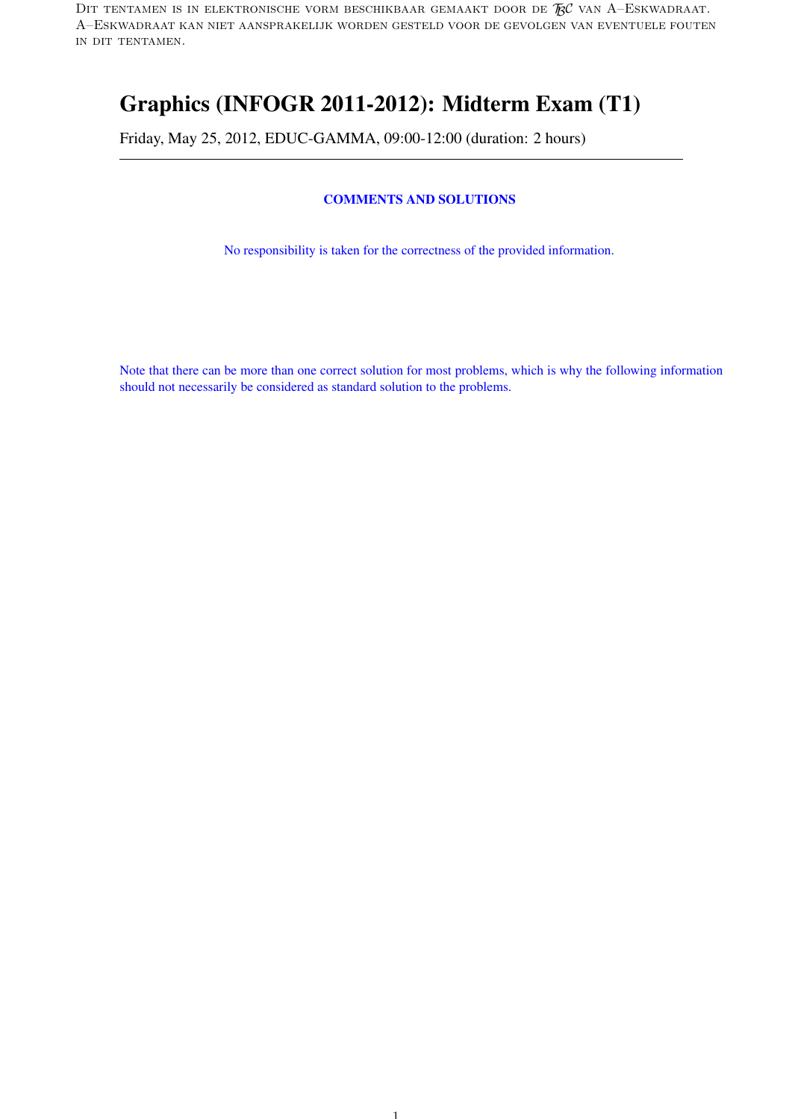DIT TENTAMEN IS IN ELEKTRONISCHE VORM BESCHIKBAAR GEMAAKT DOOR DE  $\mathcal{R}$ C van A–Eskwadraat. A–Eskwadraat kan niet aansprakelijk worden gesteld voor de gevolgen van eventuele fouten in dit tentamen.

# Graphics (INFOGR 2011-2012): Midterm Exam (T1)

Friday, May 25, 2012, EDUC-GAMMA, 09:00-12:00 (duration: 2 hours)

# COMMENTS AND SOLUTIONS

No responsibility is taken for the correctness of the provided information.

Note that there can be more than one correct solution for most problems, which is why the following information should not necessarily be considered as standard solution to the problems.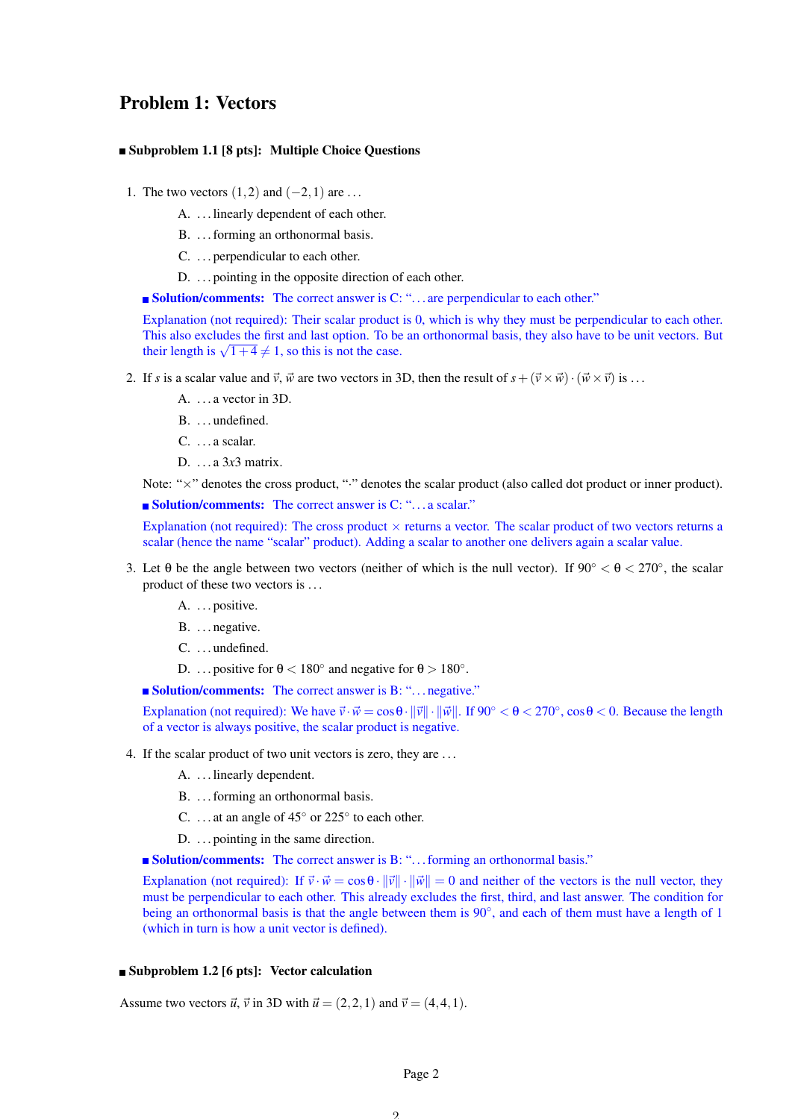# Problem 1: Vectors

#### Subproblem 1.1 [8 pts]: Multiple Choice Questions

- 1. The two vectors  $(1,2)$  and  $(-2,1)$  are ...
	- A. . . . linearly dependent of each other.
	- B. ... forming an orthonormal basis.
	- C. . . . perpendicular to each other.
	- D. . . . pointing in the opposite direction of each other.
	- **Solution/comments:** The correct answer is C: "... are perpendicular to each other."

Explanation (not required): Their scalar product is 0, which is why they must be perpendicular to each other. This also excludes the first and last option. To be an orthonormal basis, they also have to be unit vectors. But This also excludes the first and last option. To be<br>their length is  $\sqrt{1+4} \neq 1$ , so this is not the case.

- 2. If *s* is a scalar value and  $\vec{v}$ ,  $\vec{w}$  are two vectors in 3D, then the result of  $s + (\vec{v} \times \vec{w}) \cdot (\vec{w} \times \vec{v})$  is ...
	- A. . . . a vector in 3D.
	- B. ...undefined.
	- C. . . . a scalar.
	- D. . . . a 3*x*3 matrix.

Note: " $\times$ " denotes the cross product, "·" denotes the scalar product (also called dot product or inner product).

**Solution/comments:** The correct answer is C: "... a scalar."

Explanation (not required): The cross product  $\times$  returns a vector. The scalar product of two vectors returns a scalar (hence the name "scalar" product). Adding a scalar to another one delivers again a scalar value.

- 3. Let  $\theta$  be the angle between two vectors (neither of which is the null vector). If  $90^\circ < \theta < 270^\circ$ , the scalar product of these two vectors is . . .
	- A. ... positive.
	- B. ... negative.
	- C. ... undefined.
	- D. ... positive for  $\theta < 180^\circ$  and negative for  $\theta > 180^\circ$ .

■ Solution/comments: The correct answer is B: "... negative."

Explanation (not required): We have  $\vec{v} \cdot \vec{w} = \cos\theta \cdot ||\vec{v}|| \cdot ||\vec{w}||$ . If 90°  $< \theta < 270$ °,  $\cos\theta < 0$ . Because the length of a vector is always positive, the scalar product is negative.

- 4. If the scalar product of two unit vectors is zero, they are . . .
	- A. . . . linearly dependent.
	- B. . . . forming an orthonormal basis.
	- C. ... at an angle of  $45^{\circ}$  or  $225^{\circ}$  to each other.
	- D. ... pointing in the same direction.

**Solution/comments:** The correct answer is B: "... forming an orthonormal basis."

Explanation (not required): If  $\vec{v} \cdot \vec{w} = \cos\theta \cdot ||\vec{v}|| \cdot ||\vec{w}|| = 0$  and neither of the vectors is the null vector, they must be perpendicular to each other. This already excludes the first, third, and last answer. The condition for being an orthonormal basis is that the angle between them is 90°, and each of them must have a length of 1 (which in turn is how a unit vector is defined).

# **Subproblem 1.2 [6 pts]:** Vector calculation

Assume two vectors  $\vec{u}$ ,  $\vec{v}$  in 3D with  $\vec{u} = (2,2,1)$  and  $\vec{v} = (4,4,1)$ .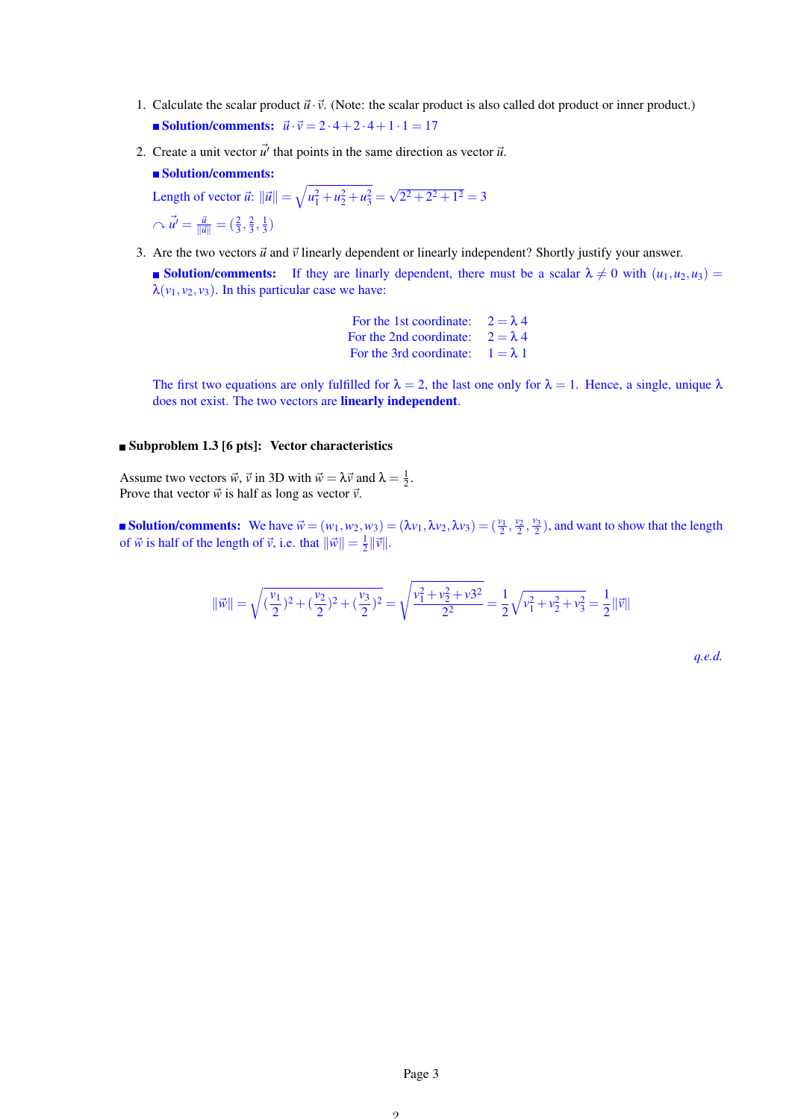- 1. Calculate the scalar product  $\vec{u} \cdot \vec{v}$ . (Note: the scalar product is also called dot product or inner product.) Solution/comments:  $\vec{u} \cdot \vec{v} = 2 \cdot 4 + 2 \cdot 4 + 1 \cdot 1 = 17$
- 2. Create a unit vector  $\vec{u'}$  that points in the same direction as vector  $\vec{u}$ .

```
Solution/comments:
```
Length of vector  $\vec{u}$ :  $\|\vec{u}\| = \sqrt{u_1^2 + u_2^2 + u_3^2} =$ √  $2^2 + 2^2 + 1^2 = 3$  $\sim \vec{u'} = \frac{\vec{u}}{\|\vec{u}\|} = (\frac{2}{3}, \frac{2}{3}, \frac{1}{3})$ 

3. Are the two vectors  $\vec{u}$  and  $\vec{v}$  linearly dependent or linearly independent? Shortly justify your answer.

Solution/comments: If they are linarly dependent, there must be a scalar  $\lambda \neq 0$  with  $(u_1, u_2, u_3)$  =  $\lambda(\nu_1, \nu_2, \nu_3)$ . In this particular case we have:

> For the 1st coordinate:  $2 = \lambda 4$ For the 2nd coordinate:  $2 = \lambda 4$ For the 3rd coordinate:  $1 = \lambda 1$

The first two equations are only fulfilled for  $\lambda = 2$ , the last one only for  $\lambda = 1$ . Hence, a single, unique  $\lambda$ does not exist. The two vectors are linearly independent.

## ■ Subproblem 1.3 [6 pts]: Vector characteristics

Assume two vectors  $\vec{w}$ ,  $\vec{v}$  in 3D with  $\vec{w} = \lambda \vec{v}$  and  $\lambda = \frac{1}{2}$ . Prove that vector  $\vec{w}$  is half as long as vector  $\vec{v}$ .

**Solution/comments:** We have  $\vec{w} = (w_1, w_2, w_3) = (\lambda v_1, \lambda v_2, \lambda v_3) = (\frac{v_1}{2}, \frac{v_2}{2}, \frac{v_3}{2})$ , and want to show that the length of  $\vec{w}$  is half of the length of  $\vec{v}$ , i.e. that  $\|\vec{w}\| = \frac{1}{2} \|\vec{v}\|$ .

$$
\|\vec{w}\| = \sqrt{(\frac{v_1}{2})^2 + (\frac{v_2}{2})^2 + (\frac{v_3}{2})^2} = \sqrt{\frac{v_1^2 + v_2^2 + v_3^2}{2^2}} = \frac{1}{2}\sqrt{v_1^2 + v_2^2 + v_3^2} = \frac{1}{2}\|\vec{v}\|
$$

*q.e.d.*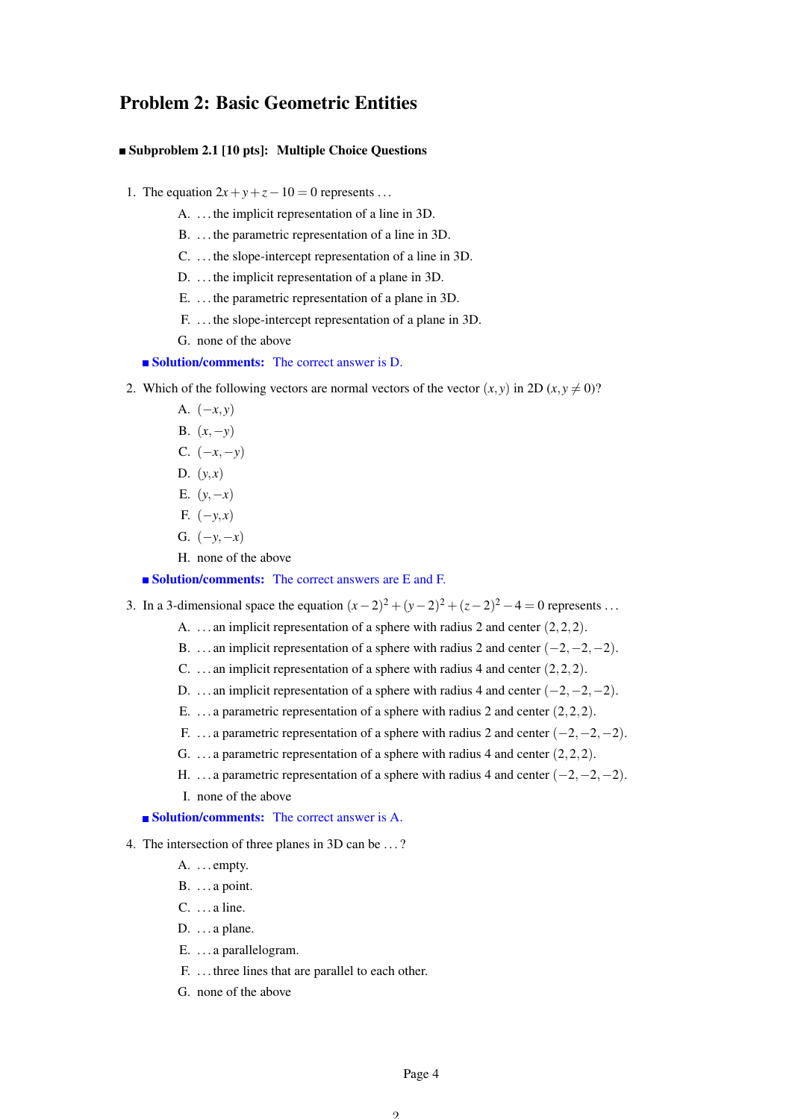# Problem 2: Basic Geometric Entities

# Subproblem 2.1 [10 pts]: Multiple Choice Questions

- 1. The equation  $2x + y + z 10 = 0$  represents ...
	- A. . . . the implicit representation of a line in 3D.
	- B. . . . the parametric representation of a line in 3D.
	- C. . . . the slope-intercept representation of a line in 3D.
	- D. . . . the implicit representation of a plane in 3D.
	- E. . . . the parametric representation of a plane in 3D.
	- F. . . . the slope-intercept representation of a plane in 3D.
	- G. none of the above

# ■ Solution/comments: The correct answer is D.

- 2. Which of the following vectors are normal vectors of the vector  $(x, y)$  in 2D  $(x, y \neq 0)$ ?
	- A. (−*x*, *y*)
	- B.  $(x, -y)$
	- C. (−*x*,−*y*)
	- D.  $(y, x)$
	- E.  $(y, -x)$
	- F. (−*y*, *x*)
	- G.  $(-y, -x)$
	- H. none of the above

# ■ Solution/comments: The correct answers are E and F.

- 3. In a 3-dimensional space the equation  $(x-2)^2 + (y-2)^2 + (z-2)^2 4 = 0$  represents ...
	- A. ... an implicit representation of a sphere with radius 2 and center  $(2,2,2)$ .
	- B. ... an implicit representation of a sphere with radius 2 and center  $(-2, -2, -2)$ .
	- C. ... an implicit representation of a sphere with radius 4 and center  $(2,2,2)$ .
	- D. ... an implicit representation of a sphere with radius 4 and center  $(-2, -2, -2)$ .
	- E.  $\ldots$  a parametric representation of a sphere with radius 2 and center (2, 2, 2).
	- F. ... a parametric representation of a sphere with radius 2 and center  $(-2, -2, -2)$ .
	- G. . . . a parametric representation of a sphere with radius 4 and center (2,2,2).
	- H. ... a parametric representation of a sphere with radius 4 and center  $(-2, -2, -2)$ .
	- I. none of the above

**Solution/comments:** The correct answer is A.

- 4. The intersection of three planes in 3D can be . . . ?
	- A. ... empty.
	- $B. \ldots a$  point.
	- C. . . . a line.
	- D.  $\dots$  a plane.
	- E. . . . a parallelogram.
	- F. . . . three lines that are parallel to each other.
	- G. none of the above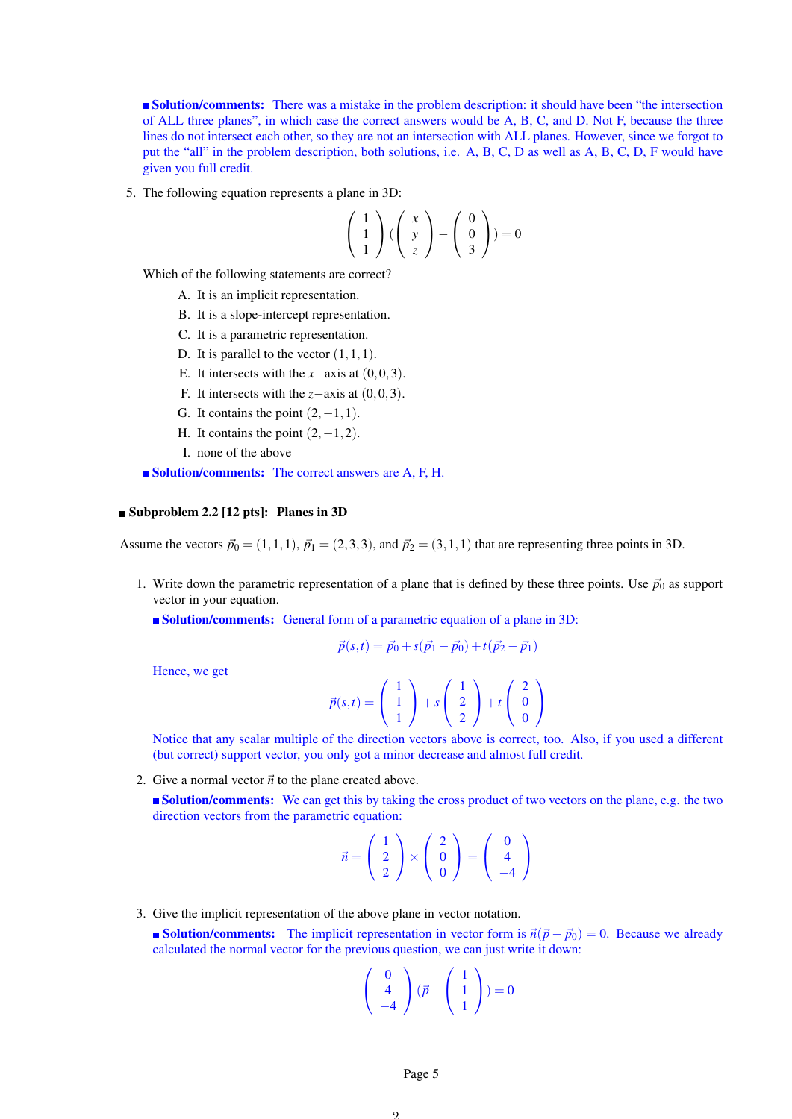**Solution/comments:** There was a mistake in the problem description: it should have been "the intersection" of ALL three planes", in which case the correct answers would be A, B, C, and D. Not F, because the three lines do not intersect each other, so they are not an intersection with ALL planes. However, since we forgot to put the "all" in the problem description, both solutions, i.e. A, B, C, D as well as A, B, C, D, F would have given you full credit.

5. The following equation represents a plane in 3D:

$$
\left(\begin{array}{c}1\\1\\1\end{array}\right)\left(\begin{array}{c}x\\y\\z\end{array}\right)-\left(\begin{array}{c}0\\0\\3\end{array}\right)=0
$$

Which of the following statements are correct?

- A. It is an implicit representation.
- B. It is a slope-intercept representation.
- C. It is a parametric representation.
- D. It is parallel to the vector  $(1,1,1)$ .
- E. It intersects with the *x*−axis at (0,0,3).
- F. It intersects with the *z*−axis at (0,0,3).
- G. It contains the point  $(2, -1, 1)$ .
- H. It contains the point  $(2, -1, 2)$ .
- I. none of the above

■ **Solution/comments:** The correct answers are A, F, H.

#### Subproblem 2.2 [12 pts]: Planes in 3D

Assume the vectors  $\vec{p}_0 = (1,1,1), \vec{p}_1 = (2,3,3)$ , and  $\vec{p}_2 = (3,1,1)$  that are representing three points in 3D.

- 1. Write down the parametric representation of a plane that is defined by these three points. Use  $\vec{p}_0$  as support vector in your equation.
	- Solution/comments: General form of a parametric equation of a plane in 3D:

$$
\vec{p}(s,t) = \vec{p}_0 + s(\vec{p}_1 - \vec{p}_0) + t(\vec{p}_2 - \vec{p}_1)
$$

Hence, we get

$$
\vec{p}(s,t) = \begin{pmatrix} 1 \\ 1 \\ 1 \end{pmatrix} + s \begin{pmatrix} 1 \\ 2 \\ 2 \end{pmatrix} + t \begin{pmatrix} 2 \\ 0 \\ 0 \end{pmatrix}
$$

Notice that any scalar multiple of the direction vectors above is correct, too. Also, if you used a different (but correct) support vector, you only got a minor decrease and almost full credit.

2. Give a normal vector  $\vec{n}$  to the plane created above.

**Solution/comments:** We can get this by taking the cross product of two vectors on the plane, e.g. the two direction vectors from the parametric equation:

$$
\vec{n} = \left(\begin{array}{c} 1 \\ 2 \\ 2 \end{array}\right) \times \left(\begin{array}{c} 2 \\ 0 \\ 0 \end{array}\right) = \left(\begin{array}{c} 0 \\ 4 \\ -4 \end{array}\right)
$$

3. Give the implicit representation of the above plane in vector notation.

**Solution/comments:** The implicit representation in vector form is  $\vec{n}(\vec{p} - \vec{p}_0) = 0$ . Because we already calculated the normal vector for the previous question, we can just write it down:

$$
\left(\begin{array}{c}0\\4\\-4\end{array}\right)(\vec{p}-\left(\begin{array}{c}1\\1\\1\end{array}\right))=0
$$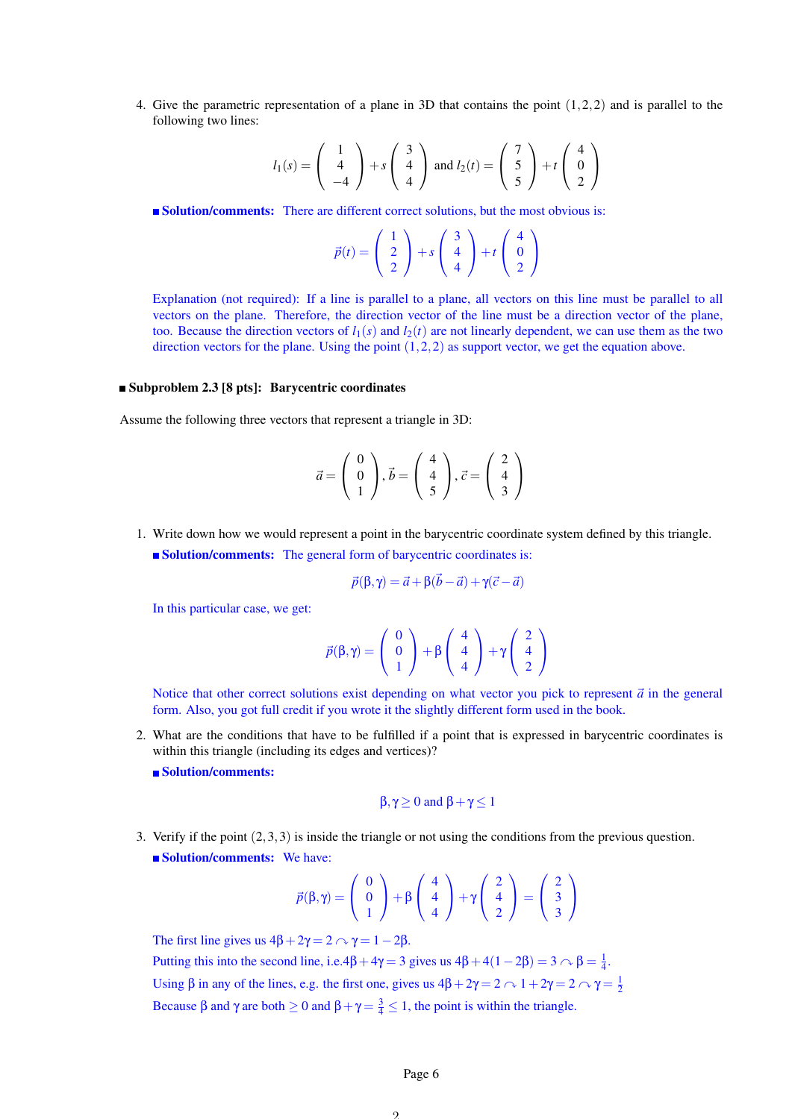4. Give the parametric representation of a plane in 3D that contains the point (1,2,2) and is parallel to the following two lines:

$$
l_1(s) = \begin{pmatrix} 1 \\ 4 \\ -4 \end{pmatrix} + s \begin{pmatrix} 3 \\ 4 \\ 4 \end{pmatrix} \text{ and } l_2(t) = \begin{pmatrix} 7 \\ 5 \\ 5 \end{pmatrix} + t \begin{pmatrix} 4 \\ 0 \\ 2 \end{pmatrix}
$$

Solution/comments: There are different correct solutions, but the most obvious is:

$$
\vec{p}(t) = \begin{pmatrix} 1 \\ 2 \\ 2 \end{pmatrix} + s \begin{pmatrix} 3 \\ 4 \\ 4 \end{pmatrix} + t \begin{pmatrix} 4 \\ 0 \\ 2 \end{pmatrix}
$$

Explanation (not required): If a line is parallel to a plane, all vectors on this line must be parallel to all vectors on the plane. Therefore, the direction vector of the line must be a direction vector of the plane, too. Because the direction vectors of  $l_1(s)$  and  $l_2(t)$  are not linearly dependent, we can use them as the two direction vectors for the plane. Using the point  $(1,2,2)$  as support vector, we get the equation above.

#### Subproblem 2.3 [8 pts]: Barycentric coordinates

Assume the following three vectors that represent a triangle in 3D:

$$
\vec{a} = \left(\begin{array}{c} 0\\0\\1 \end{array}\right), \vec{b} = \left(\begin{array}{c} 4\\4\\5 \end{array}\right), \vec{c} = \left(\begin{array}{c} 2\\4\\3 \end{array}\right)
$$

- 1. Write down how we would represent a point in the barycentric coordinate system defined by this triangle.
	- **Solution/comments:** The general form of barycentric coordinates is:

$$
\vec{p}(\beta, \gamma) = \vec{a} + \beta(\vec{b} - \vec{a}) + \gamma(\vec{c} - \vec{a})
$$

In this particular case, we get:

$$
\vec{p}(\beta,\gamma)=\left(\begin{array}{c}0\\0\\1\end{array}\right)+\beta\left(\begin{array}{c}4\\4\\4\end{array}\right)+\gamma\left(\begin{array}{c}2\\4\\2\end{array}\right)
$$

Notice that other correct solutions exist depending on what vector you pick to represent  $\vec{a}$  in the general form. Also, you got full credit if you wrote it the slightly different form used in the book.

- 2. What are the conditions that have to be fulfilled if a point that is expressed in barycentric coordinates is within this triangle (including its edges and vertices)?
	- Solution/comments:

$$
\beta,\gamma\geq 0 \text{ and } \beta+\gamma\leq 1
$$

3. Verify if the point (2,3,3) is inside the triangle or not using the conditions from the previous question. **Solution/comments:** We have:

$$
\vec{p}(\beta,\gamma) = \begin{pmatrix} 0 \\ 0 \\ 1 \end{pmatrix} + \beta \begin{pmatrix} 4 \\ 4 \\ 4 \end{pmatrix} + \gamma \begin{pmatrix} 2 \\ 4 \\ 2 \end{pmatrix} = \begin{pmatrix} 2 \\ 3 \\ 3 \end{pmatrix}
$$

The first line gives us  $4\beta + 2\gamma = 2 \curvearrowright \gamma = 1 - 2\beta$ . Putting this into the second line, i.e. $4\beta + 4\gamma = 3$  gives us  $4\beta + 4(1 - 2\beta) = 3 \curvearrowright \beta = \frac{1}{4}$ . Using  $\beta$  in any of the lines, e.g. the first one, gives us  $4\beta + 2\gamma = 2 \land 1 + 2\gamma = 2 \land \gamma = \frac{1}{2}$ Because  $\beta$  and  $\gamma$  are both  $\geq 0$  and  $\beta + \gamma = \frac{3}{4} \leq 1$ , the point is within the triangle.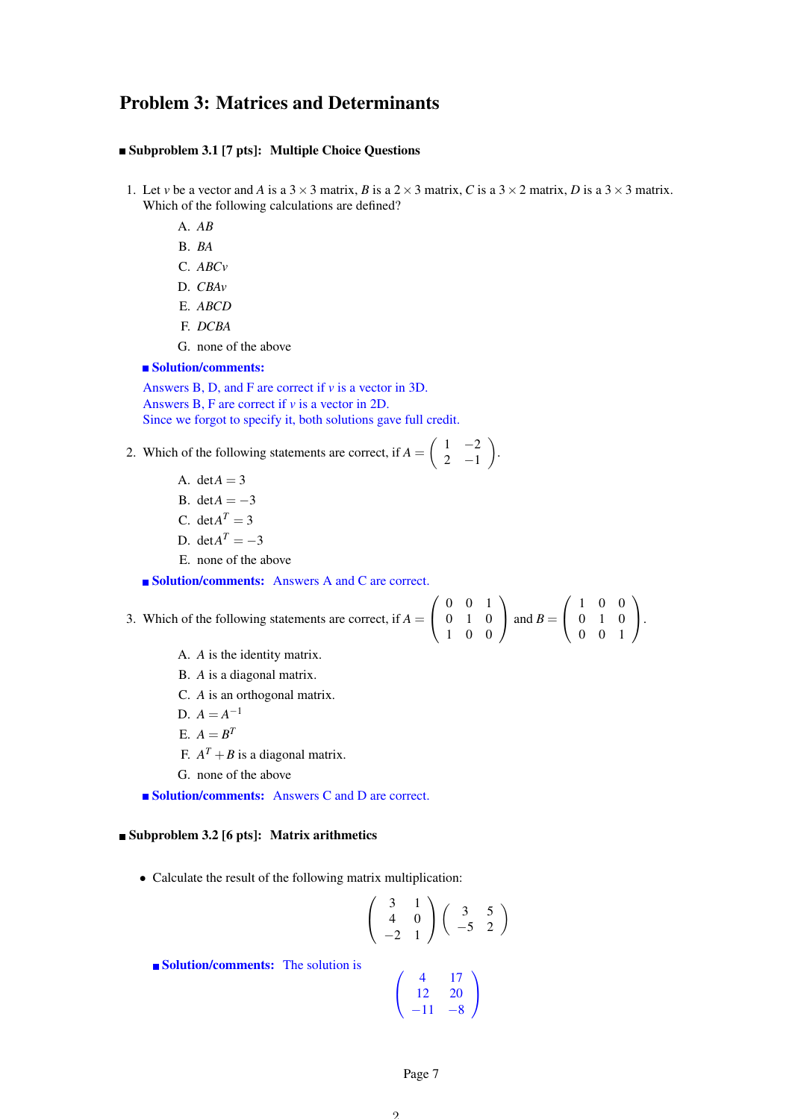# Problem 3: Matrices and Determinants

#### Subproblem 3.1 [7 pts]: Multiple Choice Questions

- 1. Let *v* be a vector and *A* is a  $3 \times 3$  matrix, *B* is a  $2 \times 3$  matrix, *C* is a  $3 \times 2$  matrix, *D* is a  $3 \times 3$  matrix. Which of the following calculations are defined?
	- A. *AB*
	- B. *BA*
	- C. *ABCv*
	- D. *CBAv*
	- E. *ABCD*
	- F. *DCBA*
	- G. none of the above

#### ■ Solution/comments:

Answers B, D, and F are correct if *v* is a vector in 3D. Answers B, F are correct if *v* is a vector in 2D. Since we forgot to specify it, both solutions gave full credit.

- 2. Which of the following statements are correct, if  $A = \begin{pmatrix} 1 & -2 \\ 2 & 1 \end{pmatrix}$  $2 -1$ 
	- A. det $A = 3$
	- B. det $A = -3$
	- C. det $A^T = 3$
	- D. det $A^T = -3$
	- E. none of the above

■ Solution/comments: Answers A and C are correct.

| 3. Which of the following statements are correct, if $A = \begin{pmatrix} 0 & 0 & 1 \\ 0 & 1 & 0 \\ 1 & 0 & 0 \end{pmatrix}$ and $B = \begin{pmatrix} 1 & 0 & 0 \\ 0 & 1 & 0 \\ 0 & 0 & 1 \end{pmatrix}$ . |  |  |  |  |
|------------------------------------------------------------------------------------------------------------------------------------------------------------------------------------------------------------|--|--|--|--|
|                                                                                                                                                                                                            |  |  |  |  |
|                                                                                                                                                                                                            |  |  |  |  |

 $\lambda$ 

.

- A. *A* is the identity matrix.
- B. *A* is a diagonal matrix.
- C. *A* is an orthogonal matrix.
- D.  $A = A^{-1}$
- $E. A = B^T$
- F.  $A^T + B$  is a diagonal matrix.
- G. none of the above

■ Solution/comments: Answers C and D are correct.

# $\blacksquare$ Subproblem 3.2 [6 pts]: Matrix arithmetics

• Calculate the result of the following matrix multiplication:

$$
\left(\begin{array}{cc}3 & 1\\4 & 0\\-2 & 1\end{array}\right)\left(\begin{array}{cc}3 & 5\\-5 & 2\end{array}\right)
$$

Solution/comments: The solution is

$$
\left(\begin{array}{cc}4&17\\12&20\\-11&-8\end{array}\right)
$$

Page 7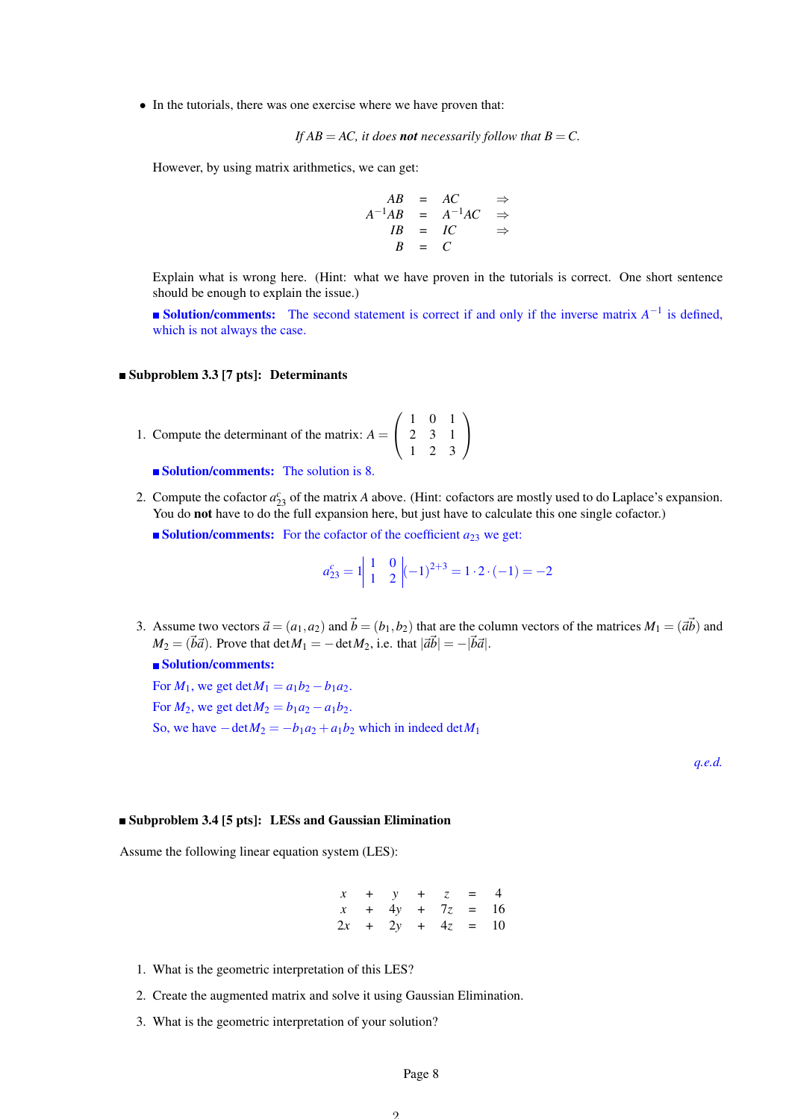• In the tutorials, there was one exercise where we have proven that:

If 
$$
AB = AC
$$
, it does **not** necessarily follow that  $B = C$ .

However, by using matrix arithmetics, we can get:

$$
AB = AC \Rightarrow
$$
  
\n
$$
A^{-1}AB = A^{-1}AC \Rightarrow
$$
  
\n
$$
IB = IC \Rightarrow
$$
  
\n
$$
B = C
$$

Explain what is wrong here. (Hint: what we have proven in the tutorials is correct. One short sentence should be enough to explain the issue.)

**Solution/comments:** The second statement is correct if and only if the inverse matrix  $A^{-1}$  is defined, which is not always the case.

#### ■ Subproblem 3.3 [7 pts]: Determinants

- 1. Compute the determinant of the matrix:  $A =$  $\sqrt{ }$  $\mathcal{L}$ 1 0 1 2 3 1 1 2 3  $\setminus$  $\overline{1}$ 
	- **Solution/comments:** The solution is 8.
- 2. Compute the cofactor  $a_{23}^c$  of the matrix *A* above. (Hint: cofactors are mostly used to do Laplace's expansion. You do not have to do the full expansion here, but just have to calculate this one single cofactor.)
	- **Solution/comments:** For the cofactor of the coefficient  $a_{23}$  we get:

$$
a_{23}^c = 1 \begin{vmatrix} 1 & 0 \\ 1 & 2 \end{vmatrix} (-1)^{2+3} = 1 \cdot 2 \cdot (-1) = -2
$$

3. Assume two vectors  $\vec{a} = (a_1, a_2)$  and  $\vec{b} = (b_1, b_2)$  that are the column vectors of the matrices  $M_1 = (\vec{a}\vec{b})$  and  $M_2 = (\vec{b}\vec{a})$ . Prove that det $M_1 = -\det M_2$ , i.e. that  $|\vec{a}\vec{b}| = -|\vec{b}\vec{a}|$ .

## ■ Solution/comments:

For  $M_1$ , we get  $\det M_1 = a_1b_2 - b_1a_2$ . For  $M_2$ , we get  $\det M_2 = b_1 a_2 - a_1 b_2$ . So, we have  $-\det M_2 = -b_1 a_2 + a_1 b_2$  which in indeed  $\det M_1$ 

*q.e.d.*

#### Subproblem 3.4 [5 pts]: LESs and Gaussian Elimination

Assume the following linear equation system (LES):

*x* + *y* + *z* = 4 *x* + 4*y* + 7*z* = 16  $2x + 2y + 4z = 10$ 

- 1. What is the geometric interpretation of this LES?
- 2. Create the augmented matrix and solve it using Gaussian Elimination.
- 3. What is the geometric interpretation of your solution?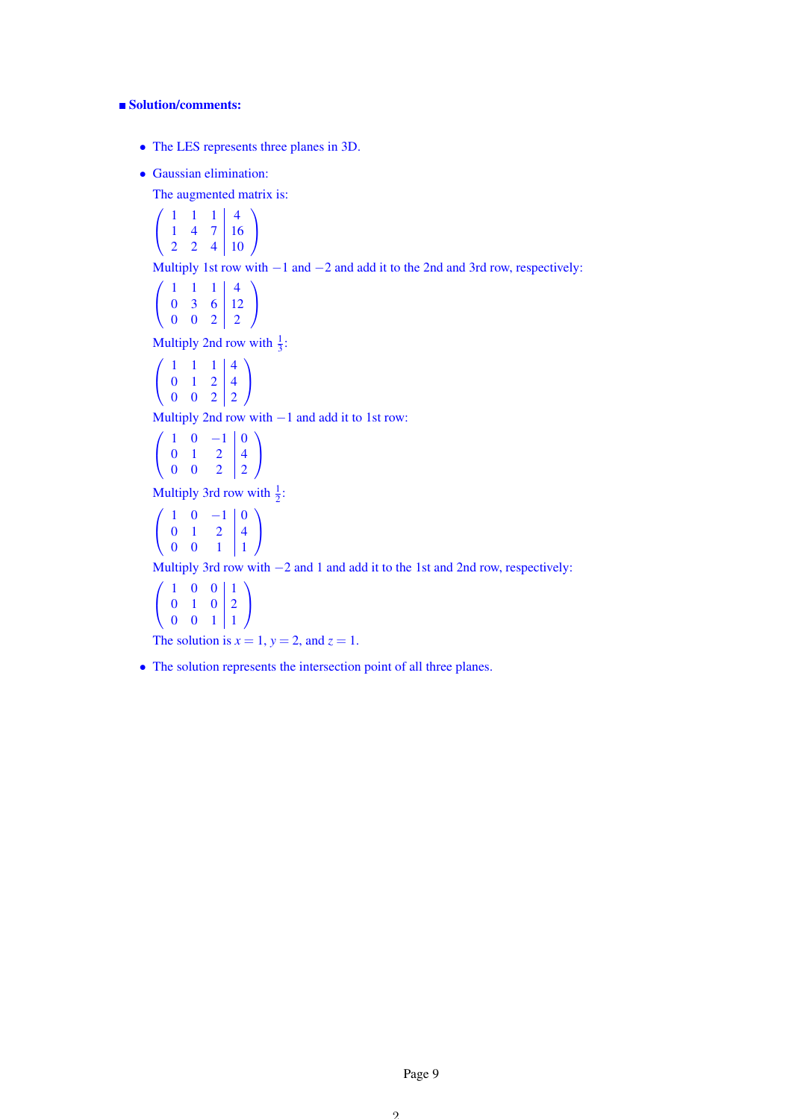# ■ Solution/comments:

- The LES represents three planes in 3D.
- Gaussian elimination:

The augmented matrix is:

$$
\left(\begin{array}{rrr|r} 1 & 1 & 1 & 4 \\ 1 & 4 & 7 & 16 \\ 2 & 2 & 4 & 10 \end{array}\right)
$$

Multiply 1st row with −1 and −2 and add it to the 2nd and 3rd row, respectively:

$$
\left(\begin{array}{rrr|r} 1 & 1 & 1 & 4 \\ 0 & 3 & 6 & 12 \\ 0 & 0 & 2 & 2 \end{array}\right)
$$

Multiply 2nd row with  $\frac{1}{3}$ :

$$
\left(\begin{array}{ccc|c} 1 & 1 & 1 & 4 \\ 0 & 1 & 2 & 4 \\ 0 & 0 & 2 & 2 \end{array}\right)
$$

Multiply 2nd row with −1 and add it to 1st row:

$$
\left(\begin{array}{ccc|c}\n1 & 0 & -1 & 0 \\
0 & 1 & 2 & 4 \\
0 & 0 & 2 & 2\n\end{array}\right)
$$

Multiply 3rd row with  $\frac{1}{2}$ :

$$
\left(\begin{array}{rrr|r} 1 & 0 & -1 & 0 \\ 0 & 1 & 2 & 4 \\ 0 & 0 & 1 & 1 \end{array}\right)
$$

Multiply 3rd row with −2 and 1 and add it to the 1st and 2nd row, respectively:

$$
\left(\begin{array}{ccc|c}\n1 & 0 & 0 & 1\\
0 & 1 & 0 & 2\\
0 & 0 & 1 & 1\n\end{array}\right)
$$

The solution is  $x = 1$ ,  $y = 2$ , and  $z = 1$ .

• The solution represents the intersection point of all three planes.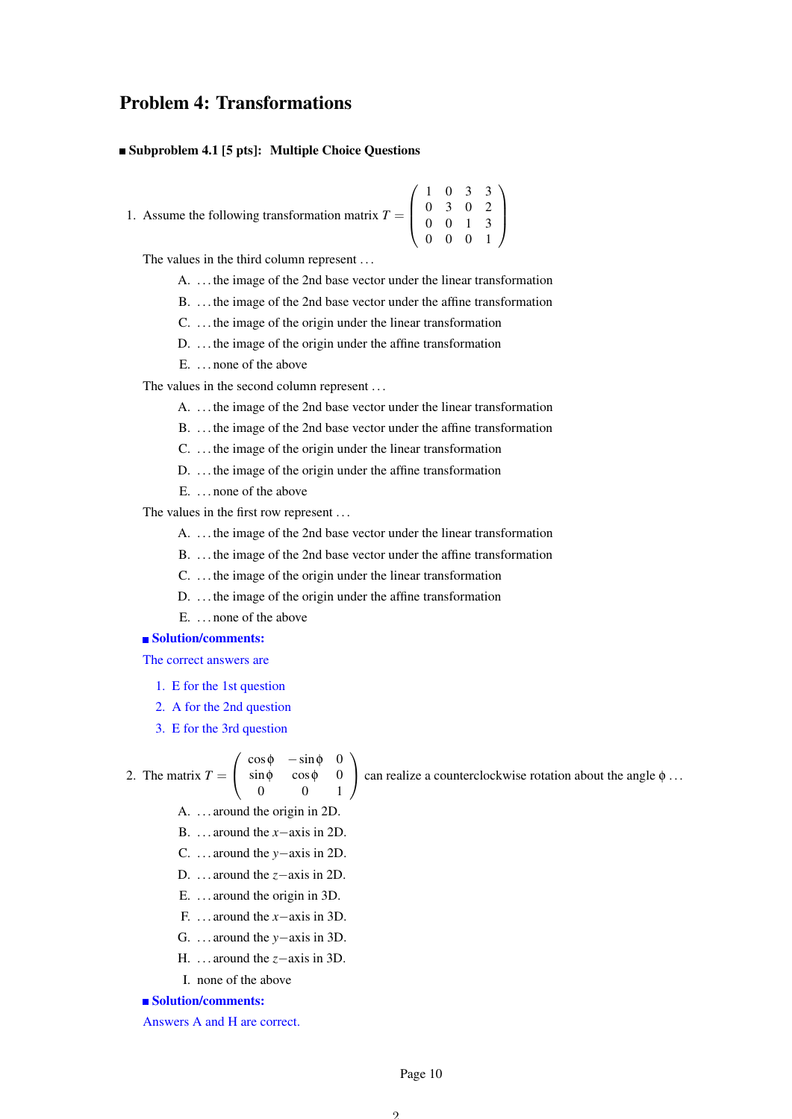# Problem 4: Transformations

#### Subproblem 4.1 [5 pts]: Multiple Choice Questions

1. Assume the following transformation matrix  $T =$  $\sqrt{ }$  $\vert$ 1 0 3 3 0 3 0 2 0 0 1 3 0 0 0 1  $\setminus$  $\Big\}$ 

The values in the third column represent . . .

- A. . . . the image of the 2nd base vector under the linear transformation
- B. . . . the image of the 2nd base vector under the affine transformation
- C. . . . the image of the origin under the linear transformation
- D. ... the image of the origin under the affine transformation
- E. . . . none of the above

The values in the second column represent . . .

- A. . . . the image of the 2nd base vector under the linear transformation
- B. . . . the image of the 2nd base vector under the affine transformation
- C. . . . the image of the origin under the linear transformation
- D. ... the image of the origin under the affine transformation
- E. . . . none of the above

The values in the first row represent ...

- A. . . . the image of the 2nd base vector under the linear transformation
- B. . . . the image of the 2nd base vector under the affine transformation
- C. . . . the image of the origin under the linear transformation
- D. ... the image of the origin under the affine transformation
- E. . . . none of the above

# Solution/comments:

The correct answers are

- 1. E for the 1st question
- 2. A for the 2nd question
- 3. E for the 3rd question

 $\sqrt{ }$  $\overline{1}$ 

2. The matrix 
$$
T =
$$

 $\setminus$ can realize a counterclockwise rotation about the angle  $\phi \dots$ 

A. . . . around the origin in 2D.

 $\cos \phi$  –  $\sin \phi$  0 sinφ cosφ 0 0 0 1

- B. . . . around the *x*−axis in 2D.
- C. . . . around the *y*−axis in 2D.
- D. . . . around the *z*−axis in 2D.
- E. . . . around the origin in 3D.
- F. . . . around the *x*−axis in 3D.
- G. . . . around the *y*−axis in 3D.
- H. . . . around the *z*−axis in 3D.
- I. none of the above

Solution/comments:

Answers A and H are correct.

Page 10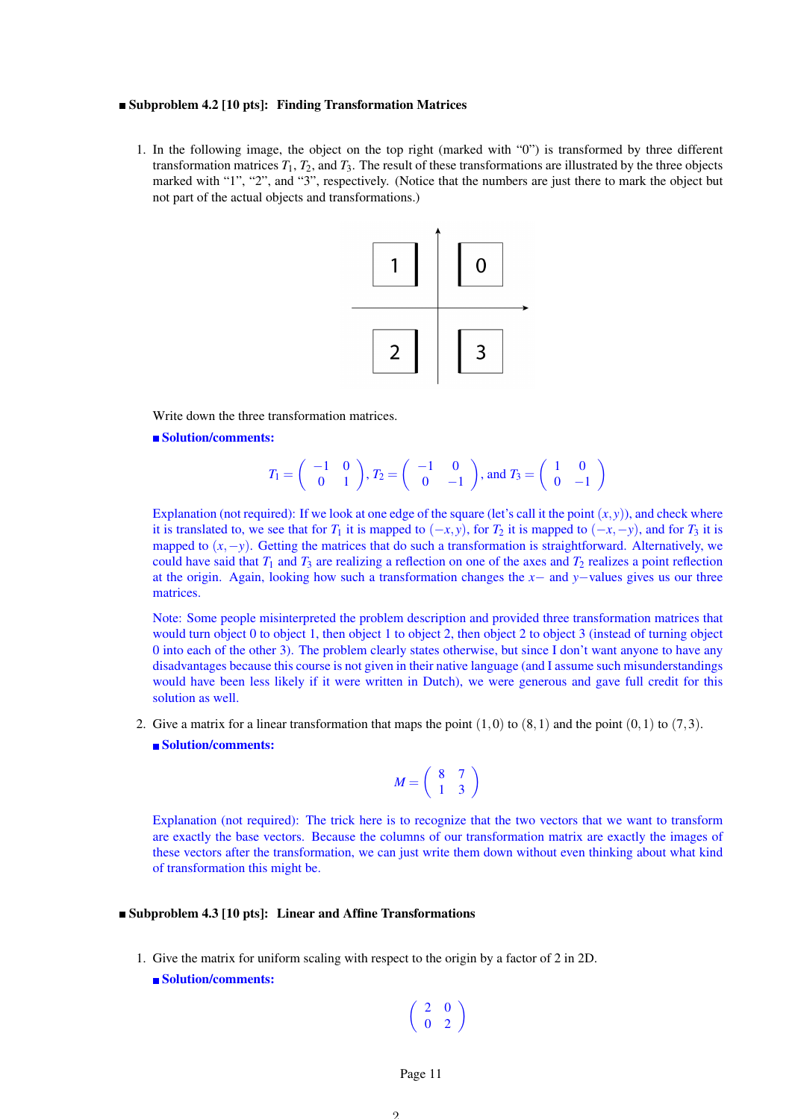#### Subproblem 4.2 [10 pts]: Finding Transformation Matrices

1. In the following image, the object on the top right (marked with "0") is transformed by three different transformation matrices  $T_1$ ,  $T_2$ , and  $T_3$ . The result of these transformations are illustrated by the three objects marked with "1", "2", and "3", respectively. (Notice that the numbers are just there to mark the object but not part of the actual objects and transformations.)



Write down the three transformation matrices.

Solution/comments:

$$
T_1 = \begin{pmatrix} -1 & 0 \\ 0 & 1 \end{pmatrix}, T_2 = \begin{pmatrix} -1 & 0 \\ 0 & -1 \end{pmatrix}, \text{ and } T_3 = \begin{pmatrix} 1 & 0 \\ 0 & -1 \end{pmatrix}
$$

Explanation (not required): If we look at one edge of the square (let's call it the point  $(x, y)$ ), and check where it is translated to, we see that for  $T_1$  it is mapped to  $(-x, y)$ , for  $T_2$  it is mapped to  $(-x, -y)$ , and for  $T_3$  it is mapped to  $(x, -y)$ . Getting the matrices that do such a transformation is straightforward. Alternatively, we could have said that  $T_1$  and  $T_3$  are realizing a reflection on one of the axes and  $T_2$  realizes a point reflection at the origin. Again, looking how such a transformation changes the *x*− and *y*−values gives us our three matrices.

Note: Some people misinterpreted the problem description and provided three transformation matrices that would turn object 0 to object 1, then object 1 to object 2, then object 2 to object 3 (instead of turning object 0 into each of the other 3). The problem clearly states otherwise, but since I don't want anyone to have any disadvantages because this course is not given in their native language (and I assume such misunderstandings would have been less likely if it were written in Dutch), we were generous and gave full credit for this solution as well.

2. Give a matrix for a linear transformation that maps the point  $(1,0)$  to  $(8,1)$  and the point  $(0,1)$  to  $(7,3)$ . Solution/comments:

$$
M = \left(\begin{array}{cc} 8 & 7 \\ 1 & 3 \end{array}\right)
$$

Explanation (not required): The trick here is to recognize that the two vectors that we want to transform are exactly the base vectors. Because the columns of our transformation matrix are exactly the images of these vectors after the transformation, we can just write them down without even thinking about what kind of transformation this might be.

# Subproblem 4.3 [10 pts]: Linear and Affine Transformations

- 1. Give the matrix for uniform scaling with respect to the origin by a factor of 2 in 2D. ■ Solution/comments:
	- $\left(\begin{array}{cc} 2 & 0 \\ 0 & 2 \end{array}\right)$

Page 11